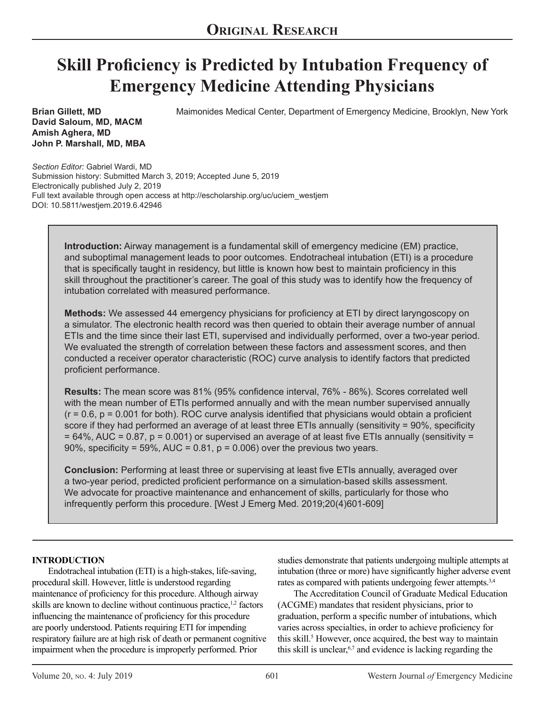# **Skill Proficiency is Predicted by Intubation Frequency of Emergency Medicine Attending Physicians**

Maimonides Medical Center, Department of Emergency Medicine, Brooklyn, New York

**Brian Gillett, MD David Saloum, MD, MACM Amish Aghera, MD John P. Marshall, MD, MBA**

*Section Editor:* Gabriel Wardi, MD Submission history: Submitted March 3, 2019; Accepted June 5, 2019 Electronically published July 2, 2019 Full text available through open access at http://escholarship.org/uc/uciem\_westjem DOI: 10.5811/westjem.2019.6.42946

> **Introduction:** Airway management is a fundamental skill of emergency medicine (EM) practice, and suboptimal management leads to poor outcomes. Endotracheal intubation (ETI) is a procedure that is specifically taught in residency, but little is known how best to maintain proficiency in this skill throughout the practitioner's career. The goal of this study was to identify how the frequency of intubation correlated with measured performance.

**Methods:** We assessed 44 emergency physicians for proficiency at ETI by direct laryngoscopy on a simulator. The electronic health record was then queried to obtain their average number of annual ETIs and the time since their last ETI, supervised and individually performed, over a two-year period. We evaluated the strength of correlation between these factors and assessment scores, and then conducted a receiver operator characteristic (ROC) curve analysis to identify factors that predicted proficient performance.

**Results:** The mean score was 81% (95% confidence interval, 76% - 86%). Scores correlated well with the mean number of ETIs performed annually and with the mean number supervised annually  $(r = 0.6, p = 0.001$  for both). ROC curve analysis identified that physicians would obtain a proficient score if they had performed an average of at least three ETIs annually (sensitivity = 90%, specificity  $= 64\%$ , AUC = 0.87, p = 0.001) or supervised an average of at least five ETIs annually (sensitivity = 90%, specificity = 59%, AUC = 0.81,  $p = 0.006$ ) over the previous two years.

**Conclusion:** Performing at least three or supervising at least five ETIs annually, averaged over a two-year period, predicted proficient performance on a simulation-based skills assessment. We advocate for proactive maintenance and enhancement of skills, particularly for those who infrequently perform this procedure. [West J Emerg Med. 2019;20(4)601-609]

## **INTRODUCTION**

Endotracheal intubation (ETI) is a high-stakes, life-saving, procedural skill. However, little is understood regarding maintenance of proficiency for this procedure. Although airway skills are known to decline without continuous practice,<sup>1,2</sup> factors influencing the maintenance of proficiency for this procedure are poorly understood. Patients requiring ETI for impending respiratory failure are at high risk of death or permanent cognitive impairment when the procedure is improperly performed. Prior

studies demonstrate that patients undergoing multiple attempts at intubation (three or more) have significantly higher adverse event rates as compared with patients undergoing fewer attempts.<sup>3,4</sup>

The Accreditation Council of Graduate Medical Education (ACGME) mandates that resident physicians, prior to graduation, perform a specific number of intubations, which varies across specialties, in order to achieve proficiency for this skill.<sup>5</sup> However, once acquired, the best way to maintain this skill is unclear, $6,7$  and evidence is lacking regarding the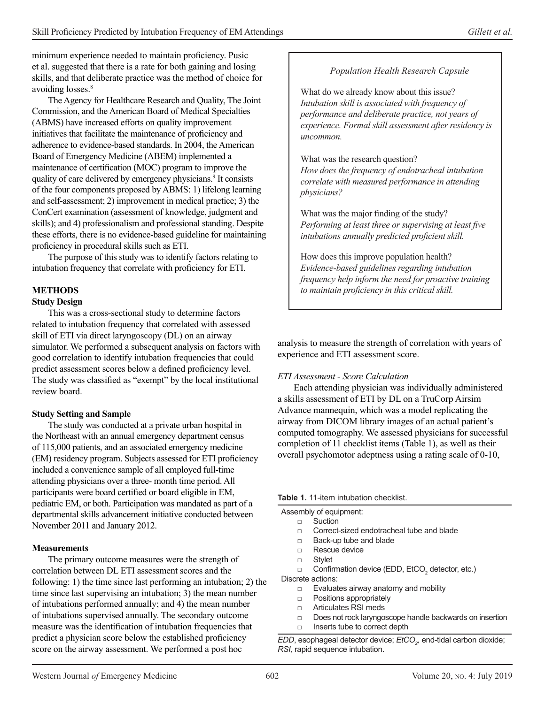minimum experience needed to maintain proficiency. Pusic et al. suggested that there is a rate for both gaining and losing skills, and that deliberate practice was the method of choice for avoiding losses.<sup>8</sup>

The Agency for Healthcare Research and Quality, The Joint Commission, and the American Board of Medical Specialties (ABMS) have increased efforts on quality improvement initiatives that facilitate the maintenance of proficiency and adherence to evidence-based standards. In 2004, the American Board of Emergency Medicine (ABEM) implemented a maintenance of certification (MOC) program to improve the quality of care delivered by emergency physicians.<sup>9</sup> It consists of the four components proposed by ABMS: 1) lifelong learning and self-assessment; 2) improvement in medical practice; 3) the ConCert examination (assessment of knowledge, judgment and skills); and 4) professionalism and professional standing. Despite these efforts, there is no evidence-based guideline for maintaining proficiency in procedural skills such as ETI.

The purpose of this study was to identify factors relating to intubation frequency that correlate with proficiency for ETI.

# **METHODS**

#### **Study Design**

This was a cross-sectional study to determine factors related to intubation frequency that correlated with assessed skill of ETI via direct laryngoscopy (DL) on an airway simulator. We performed a subsequent analysis on factors with good correlation to identify intubation frequencies that could predict assessment scores below a defined proficiency level. The study was classified as "exempt" by the local institutional review board.

#### **Study Setting and Sample**

The study was conducted at a private urban hospital in the Northeast with an annual emergency department census of 115,000 patients, and an associated emergency medicine (EM) residency program. Subjects assessed for ETI proficiency included a convenience sample of all employed full-time attending physicians over a three- month time period. All participants were board certified or board eligible in EM, pediatric EM, or both. Participation was mandated as part of a departmental skills advancement initiative conducted between November 2011 and January 2012.

#### **Measurements**

The primary outcome measures were the strength of correlation between DL ETI assessment scores and the following: 1) the time since last performing an intubation; 2) the time since last supervising an intubation; 3) the mean number of intubations performed annually; and 4) the mean number of intubations supervised annually. The secondary outcome measure was the identification of intubation frequencies that predict a physician score below the established proficiency score on the airway assessment. We performed a post hoc

## *Population Health Research Capsule*

What do we already know about this issue? *Intubation skill is associated with frequency of performance and deliberate practice, not years of experience. Formal skill assessment after residency is uncommon.*

What was the research question? *How does the frequency of endotracheal intubation correlate with measured performance in attending physicians?*

What was the major finding of the study? *Performing at least three or supervising at least five intubations annually predicted proficient skill.*

How does this improve population health? *Evidence-based guidelines regarding intubation frequency help inform the need for proactive training to maintain proficiency in this critical skill.*

analysis to measure the strength of correlation with years of experience and ETI assessment score.

#### *ETI Assessment - Score Calculation*

Each attending physician was individually administered a skills assessment of ETI by DL on a TruCorp Airsim Advance mannequin, which was a model replicating the airway from DICOM library images of an actual patient's computed tomography. We assessed physicians for successful completion of 11 checklist items (Table 1), as well as their overall psychomotor adeptness using a rating scale of 0-10,

#### **Table 1.** 11-item intubation checklist.

Assembly of equipment:

- □ Suction
	- □ Correct-sized endotracheal tube and blade
	- □ Back-up tube and blade
	- □ Rescue device
	- □ Stylet

 $\Box$  Confirmation device (EDD, EtCO<sub>2</sub> detector, etc.)

- Discrete actions:
	- □ Evaluates airway anatomy and mobility
	- □ Positions appropriately
	- □ Articulates RSI meds
	- □ Does not rock laryngoscope handle backwards on insertion
	- □ Inserts tube to correct depth

*EDD*, esophageal detector device; *EtCO2 ,* end-tidal carbon dioxide; *RSI,* rapid sequence intubation.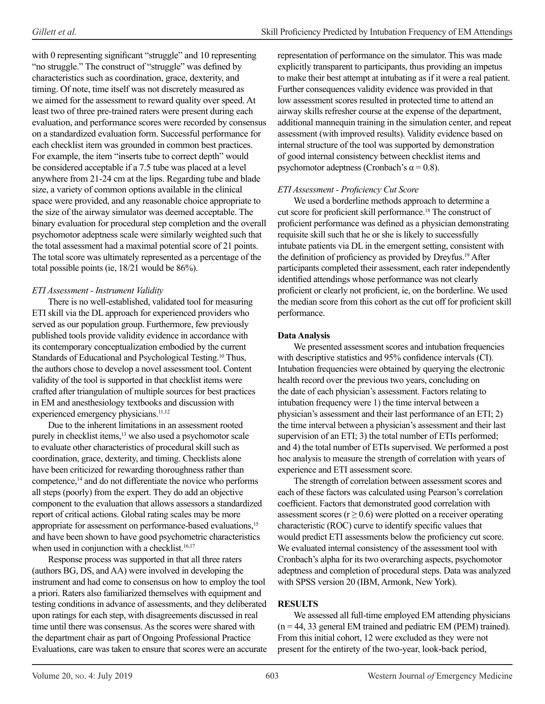with 0 representing significant "struggle" and 10 representing "no struggle." The construct of "struggle" was defined by characteristics such as coordination, grace, dexterity, and timing. Of note, time itself was not discretely measured as we aimed for the assessment to reward quality over speed. At least two of three pre-trained raters were present during each evaluation, and performance scores were recorded by consensus on a standardized evaluation form. Successful performance for each checklist item was grounded in common best practices. For example, the item "inserts tube to correct depth" would be considered acceptable if a 7.5 tube was placed at a level anywhere from 21-24 cm at the lips. Regarding tube and blade size, a variety of common options available in the clinical space were provided, and any reasonable choice appropriate to the size of the airway simulator was deemed acceptable. The binary evaluation for procedural step completion and the overall psychomotor adeptness scale were similarly weighted such that the total assessment had a maximal potential score of 21 points. The total score was ultimately represented as a percentage of the total possible points (ie, 18/21 would be 86%).

## *ETI Assessment - Instrument Validity*

There is no well-established, validated tool for measuring ETI skill via the DL approach for experienced providers who served as our population group. Furthermore, few previously published tools provide validity evidence in accordance with its contemporary conceptualization embodied by the current Standards of Educational and Psychological Testing.<sup>10</sup> Thus, the authors chose to develop a novel assessment tool. Content validity of the tool is supported in that checklist items were crafted after triangulation of multiple sources for best practices in EM and anesthesiology textbooks and discussion with experienced emergency physicians.<sup>11,12</sup>

Due to the inherent limitations in an assessment rooted purely in checklist items,<sup>13</sup> we also used a psychomotor scale to evaluate other characteristics of procedural skill such as coordination, grace, dexterity, and timing. Checklists alone have been criticized for rewarding thoroughness rather than competence,<sup>14</sup> and do not differentiate the novice who performs all steps (poorly) from the expert. They do add an objective component to the evaluation that allows assessors a standardized report of critical actions. Global rating scales may be more appropriate for assessment on performance-based evaluations,<sup>15</sup> and have been shown to have good psychometric characteristics when used in conjunction with a checklist.<sup>16,17</sup>

Response process was supported in that all three raters (authors BG, DS, and AA) were involved in developing the instrument and had come to consensus on how to employ the tool a priori. Raters also familiarized themselves with equipment and testing conditions in advance of assessments, and they deliberated upon ratings for each step, with disagreements discussed in real time until there was consensus. As the scores were shared with the department chair as part of Ongoing Professional Practice Evaluations, care was taken to ensure that scores were an accurate representation of performance on the simulator. This was made explicitly transparent to participants, thus providing an impetus to make their best attempt at intubating as if it were a real patient. Further consequences validity evidence was provided in that low assessment scores resulted in protected time to attend an airway skills refresher course at the expense of the department, additional mannequin training in the simulation center, and repeat assessment (with improved results). Validity evidence based on internal structure of the tool was supported by demonstration of good internal consistency between checklist items and psychomotor adeptness (Cronbach's  $\alpha$  = 0.8).

## *ETI Assessment - Proficiency Cut Score*

We used a borderline methods approach to determine a cut score for proficient skill performance.<sup>18</sup> The construct of proficient performance was defined as a physician demonstrating requisite skill such that he or she is likely to successfully intubate patients via DL in the emergent setting, consistent with the definition of proficiency as provided by Dreyfus.<sup>19</sup> After participants completed their assessment, each rater independently identified attendings whose performance was not clearly proficient or clearly not proficient, ie, on the borderline. We used the median score from this cohort as the cut off for proficient skill performance.

## **Data Analysis**

We presented assessment scores and intubation frequencies with descriptive statistics and 95% confidence intervals (CI). Intubation frequencies were obtained by querying the electronic health record over the previous two years, concluding on the date of each physician's assessment. Factors relating to intubation frequency were 1) the time interval between a physician's assessment and their last performance of an ETI; 2) the time interval between a physician's assessment and their last supervision of an ETI; 3) the total number of ETIs performed; and 4) the total number of ETIs supervised. We performed a post hoc analysis to measure the strength of correlation with years of experience and ETI assessment score.

The strength of correlation between assessment scores and each of these factors was calculated using Pearson's correlation coefficient. Factors that demonstrated good correlation with assessment scores ( $r \ge 0.6$ ) were plotted on a receiver operating characteristic (ROC) curve to identify specific values that would predict ETI assessments below the proficiency cut score. We evaluated internal consistency of the assessment tool with Cronbach's alpha for its two overarching aspects, psychomotor adeptness and completion of procedural steps. Data was analyzed with SPSS version 20 (IBM, Armonk, New York).

## **RESULTS**

We assessed all full-time employed EM attending physicians  $(n = 44, 33$  general EM trained and pediatric EM (PEM) trained). From this initial cohort, 12 were excluded as they were not present for the entirety of the two-year, look-back period,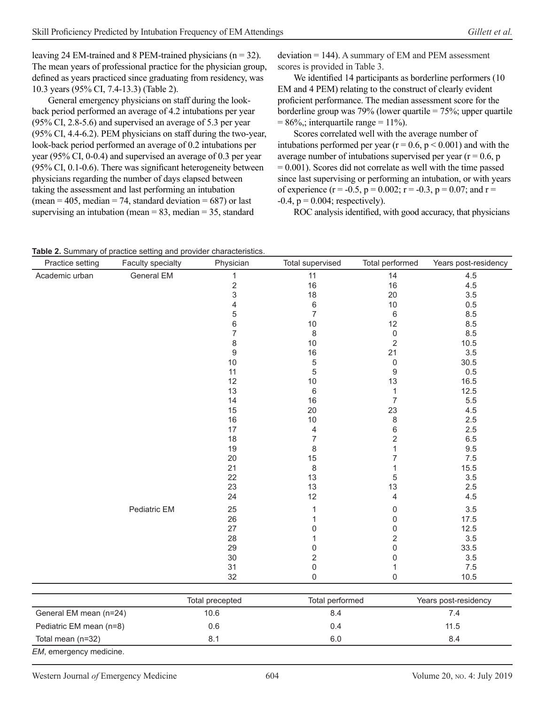leaving 24 EM-trained and 8 PEM-trained physicians (n = 32). The mean years of professional practice for the physician group, defined as years practiced since graduating from residency, was 10.3 years (95% CI, 7.4-13.3) (Table 2).

General emergency physicians on staff during the lookback period performed an average of 4.2 intubations per year (95% CI, 2.8-5.6) and supervised an average of 5.3 per year (95% CI, 4.4-6.2). PEM physicians on staff during the two-year, look-back period performed an average of 0.2 intubations per year (95% CI, 0-0.4) and supervised an average of 0.3 per year (95% CI, 0.1-0.6). There was significant heterogeneity between physicians regarding the number of days elapsed between taking the assessment and last performing an intubation (mean = 405, median = 74, standard deviation = 687) or last supervising an intubation (mean  $= 83$ , median  $= 35$ , standard

 $deviation = 144$ ). A summary of EM and PEM assessment scores is provided in Table 3.

We identified 14 participants as borderline performers (10 EM and 4 PEM) relating to the construct of clearly evident proficient performance. The median assessment score for the borderline group was 79% (lower quartile = 75%; upper quartile  $= 86\%$ ; interquartile range  $= 11\%$ ).

Scores correlated well with the average number of intubations performed per year ( $r = 0.6$ ,  $p < 0.001$ ) and with the average number of intubations supervised per year  $(r = 0.6, p$  $= 0.001$ ). Scores did not correlate as well with the time passed since last supervising or performing an intubation, or with years of experience ( $r = -0.5$ ,  $p = 0.002$ ;  $r = -0.3$ ,  $p = 0.07$ ; and  $r =$  $-0.4$ ,  $p = 0.004$ ; respectively).

ROC analysis identified, with good accuracy, that physicians

**Table 2.** Summary of practice setting and provider characteristics.

| Practice setting | Faculty specialty | Physician        | Total supervised        | Total performed     | Years post-residency |
|------------------|-------------------|------------------|-------------------------|---------------------|----------------------|
| Academic urban   | General EM        | 1                | 11                      | 14                  | 4.5                  |
|                  |                   | $\sqrt{2}$       | 16                      | 16                  | 4.5                  |
|                  |                   | 3                | 18                      | 20                  | $3.5\,$              |
|                  |                   | 4                | $\,6\,$                 | $10$                | 0.5                  |
|                  |                   | 5                | $\overline{7}$          | 6                   | 8.5                  |
|                  |                   | 6                | $10$                    | 12                  | 8.5                  |
|                  |                   | 7                | 8                       | $\mathsf{O}\xspace$ | 8.5                  |
|                  |                   | 8                | 10                      | $\sqrt{2}$          | 10.5                 |
|                  |                   | $\boldsymbol{9}$ | 16                      | 21                  | 3.5                  |
|                  |                   | $10$             | 5                       | $\pmb{0}$           | 30.5                 |
|                  |                   | 11               | $\mathbf 5$             | 9                   | $0.5\,$              |
|                  |                   | 12               | $10$                    | 13                  | 16.5                 |
|                  |                   | 13               | $\,6\,$                 | 1                   | 12.5                 |
|                  |                   | 14               | 16                      | $\overline{7}$      | $5.5\,$              |
|                  |                   | 15               | 20                      | 23                  | 4.5                  |
|                  |                   | 16               | 10                      | 8                   | 2.5                  |
|                  |                   | 17               | 4                       | 6                   | 2.5                  |
|                  |                   | 18               | $\overline{7}$          | $\sqrt{2}$          | $6.5\,$              |
|                  |                   | 19               | 8                       | 1                   | 9.5                  |
|                  |                   | 20               | 15                      | $\overline{7}$      | 7.5                  |
|                  |                   | 21               | $\,8\,$                 | 1                   | 15.5                 |
|                  |                   | 22               | 13                      | 5                   | $3.5\,$              |
|                  |                   | 23               | 13                      | 13                  | $2.5\,$              |
|                  |                   | 24               | 12                      | 4                   | 4.5                  |
|                  | Pediatric EM      | 25               | 1                       | $\mathsf 0$         | 3.5                  |
|                  |                   | 26               | 1                       | $\mathbf 0$         | 17.5                 |
|                  |                   | 27               | 0                       | $\mathbf 0$         | 12.5                 |
|                  |                   | 28               | 1                       | $\overline{2}$      | 3.5                  |
|                  |                   | 29               | $\mathsf 0$             | $\mathbf 0$         | 33.5                 |
|                  |                   | $30\,$           | $\overline{\mathbf{c}}$ | $\mathbf 0$         | 3.5                  |
|                  |                   | 31               | $\boldsymbol{0}$        | 1                   | 7.5                  |
|                  |                   | 32               | 0                       | $\boldsymbol{0}$    | 10.5                 |
|                  |                   |                  |                         |                     |                      |

| 10.6 | 8.4 | 7.4  |
|------|-----|------|
|      |     |      |
| 0.6  | 0.4 | 11.5 |
| 8.1  | 6.0 | 8.4  |
|      |     |      |

*EM*, emergency medicine.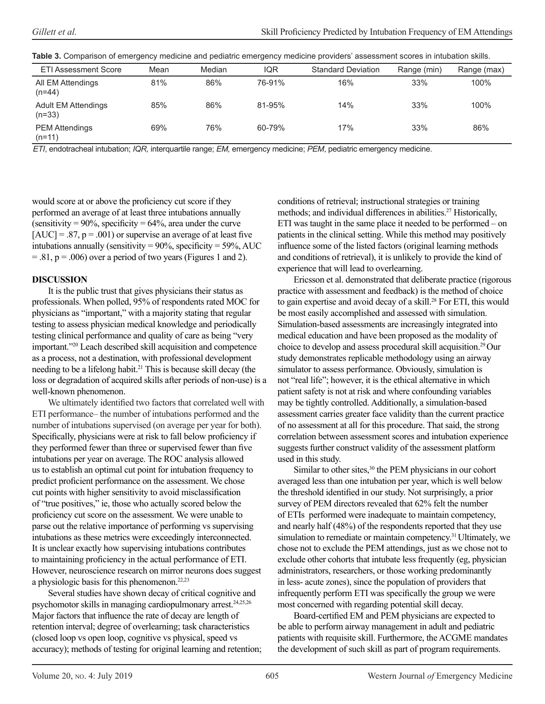| <b>ETI Assessment Score</b>            | Mean | Median | <b>IQR</b> | <b>Standard Deviation</b> | Range (min) | Range (max) |
|----------------------------------------|------|--------|------------|---------------------------|-------------|-------------|
| All EM Attendings<br>(n=44)            | 81%  | 86%    | 76-91%     | 16%                       | 33%         | 100%        |
| <b>Adult EM Attendings</b><br>$(n=33)$ | 85%  | 86%    | 81-95%     | 14%                       | 33%         | 100%        |
| <b>PEM Attendings</b><br>(n=11)        | 69%  | 76%    | 60-79%     | 17%                       | 33%         | 86%         |

|  |  |  |  |  |  |  | Table 3. Comparison of emergency medicine and pediatric emergency medicine providers' assessment scores in intubation skills. |
|--|--|--|--|--|--|--|-------------------------------------------------------------------------------------------------------------------------------|
|--|--|--|--|--|--|--|-------------------------------------------------------------------------------------------------------------------------------|

*ETI*, endotracheal intubation; *IQR,* interquartile range; *EM,* emergency medicine; *PEM*, pediatric emergency medicine.

would score at or above the proficiency cut score if they performed an average of at least three intubations annually (sensitivity =  $90\%$ , specificity =  $64\%$ , area under the curve  $[AUC] = .87$ ,  $p = .001$ ) or supervise an average of at least five intubations annually (sensitivity  $= 90\%$ , specificity  $= 59\%$ , AUC  $= 0.81$ , p  $= 0.006$ ) over a period of two years (Figures 1 and 2).

#### **DISCUSSION**

It is the public trust that gives physicians their status as professionals. When polled, 95% of respondents rated MOC for physicians as "important," with a majority stating that regular testing to assess physician medical knowledge and periodically testing clinical performance and quality of care as being "very important."20 Leach described skill acquisition and competence as a process, not a destination, with professional development needing to be a lifelong habit.<sup>21</sup> This is because skill decay (the loss or degradation of acquired skills after periods of non-use) is a well-known phenomenon.

We ultimately identified two factors that correlated well with ETI performance– the number of intubations performed and the number of intubations supervised (on average per year for both). Specifically, physicians were at risk to fall below proficiency if they performed fewer than three or supervised fewer than five intubations per year on average. The ROC analysis allowed us to establish an optimal cut point for intubation frequency to predict proficient performance on the assessment. We chose cut points with higher sensitivity to avoid misclassification of "true positives," ie, those who actually scored below the proficiency cut score on the assessment. We were unable to parse out the relative importance of performing vs supervising intubations as these metrics were exceedingly interconnected. It is unclear exactly how supervising intubations contributes to maintaining proficiency in the actual performance of ETI. However, neuroscience research on mirror neurons does suggest a physiologic basis for this phenomenon.<sup>22,23</sup>

Several studies have shown decay of critical cognitive and psychomotor skills in managing cardiopulmonary arrest.<sup>24,25,26</sup> Major factors that influence the rate of decay are length of retention interval; degree of overlearning; task characteristics (closed loop vs open loop, cognitive vs physical, speed vs accuracy); methods of testing for original learning and retention; conditions of retrieval; instructional strategies or training methods; and individual differences in abilities.<sup>27</sup> Historically, ETI was taught in the same place it needed to be performed – on patients in the clinical setting. While this method may positively influence some of the listed factors (original learning methods and conditions of retrieval), it is unlikely to provide the kind of experience that will lead to overlearning.

Ericsson et al. demonstrated that deliberate practice (rigorous practice with assessment and feedback) is the method of choice to gain expertise and avoid decay of a skill.<sup>28</sup> For ETI, this would be most easily accomplished and assessed with simulation. Simulation-based assessments are increasingly integrated into medical education and have been proposed as the modality of choice to develop and assess procedural skill acquisition.29 Our study demonstrates replicable methodology using an airway simulator to assess performance. Obviously, simulation is not "real life"; however, it is the ethical alternative in which patient safety is not at risk and where confounding variables may be tightly controlled. Additionally, a simulation-based assessment carries greater face validity than the current practice of no assessment at all for this procedure. That said, the strong correlation between assessment scores and intubation experience suggests further construct validity of the assessment platform used in this study.

Similar to other sites,<sup>30</sup> the PEM physicians in our cohort averaged less than one intubation per year, which is well below the threshold identified in our study. Not surprisingly, a prior survey of PEM directors revealed that 62% felt the number of ETIs performed were inadequate to maintain competency, and nearly half (48%) of the respondents reported that they use simulation to remediate or maintain competency.<sup>31</sup> Ultimately, we chose not to exclude the PEM attendings, just as we chose not to exclude other cohorts that intubate less frequently (eg, physician administrators, researchers, or those working predominantly in less- acute zones), since the population of providers that infrequently perform ETI was specifically the group we were most concerned with regarding potential skill decay.

Board-certified EM and PEM physicians are expected to be able to perform airway management in adult and pediatric patients with requisite skill. Furthermore, the ACGME mandates the development of such skill as part of program requirements.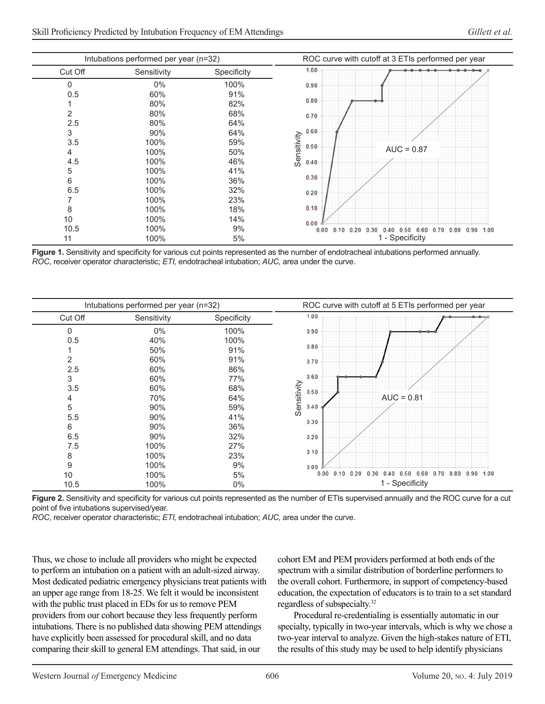| Intubations performed per year (n=32) |             |             | ROC curve with cutoff at 3 ETIs performed per year                                  |  |  |
|---------------------------------------|-------------|-------------|-------------------------------------------------------------------------------------|--|--|
| Cut Off                               | Sensitivity | Specificity | 1.00                                                                                |  |  |
| 0                                     | $0\%$       | 100%        | 0.90                                                                                |  |  |
| 0.5                                   | 60%         | 91%         |                                                                                     |  |  |
|                                       | 80%         | 82%         | 0.80                                                                                |  |  |
| 2                                     | 80%         | 68%         | 0.70                                                                                |  |  |
| 2.5                                   | 80%         | 64%         |                                                                                     |  |  |
| 3                                     | 90%         | 64%         | 0.60                                                                                |  |  |
| 3.5                                   | 100%        | 59%         | Sensitivity<br>0.50                                                                 |  |  |
| 4                                     | 100%        | 50%         | $AUC = 0.87$                                                                        |  |  |
| 4.5                                   | 100%        | 46%         | 0.40                                                                                |  |  |
| 5                                     | 100%        | 41%         |                                                                                     |  |  |
| 6                                     | 100%        | 36%         | 0.30                                                                                |  |  |
| 6.5                                   | 100%        | 32%         | 0.20                                                                                |  |  |
|                                       | 100%        | 23%         |                                                                                     |  |  |
| 8                                     | 100%        | 18%         | 0.10                                                                                |  |  |
| 10                                    | 100%        | 14%         | 0.00                                                                                |  |  |
| 10.5                                  | 100%        | 9%          | $0.00$ $0.10$ $0.20$<br>$0.40$ $0.50$ $0.60$<br>0.70<br>0.80<br>$0.90$ 1.00<br>0.30 |  |  |
| 11                                    | 100%        | 5%          | 1 - Specificity                                                                     |  |  |

**Figure 1.** Sensitivity and specificity for various cut points represented as the number of endotracheal intubations performed annually. *ROC*, receiver operator characteristic; *ETI,* endotracheal intubation; *AUC,* area under the curve.



**Figure 2.** Sensitivity and specificity for various cut points represented as the number of ETIs supervised annually and the ROC curve for a cut point of five intubations supervised/year.

*ROC*, receiver operator characteristic; *ETI,* endotracheal intubation; *AUC,* area under the curve.

Thus, we chose to include all providers who might be expected to perform an intubation on a patient with an adult-sized airway. Most dedicated pediatric emergency physicians treat patients with an upper age range from 18-25. We felt it would be inconsistent with the public trust placed in EDs for us to remove PEM providers from our cohort because they less frequently perform intubations. There is no published data showing PEM attendings have explicitly been assessed for procedural skill, and no data comparing their skill to general EM attendings. That said, in our

cohort EM and PEM providers performed at both ends of the spectrum with a similar distribution of borderline performers to the overall cohort. Furthermore, in support of competency-based education, the expectation of educators is to train to a set standard regardless of subspecialty.32

Procedural re-credentialing is essentially automatic in our specialty, typically in two-year intervals, which is why we chose a two-year interval to analyze. Given the high-stakes nature of ETI, the results of this study may be used to help identify physicians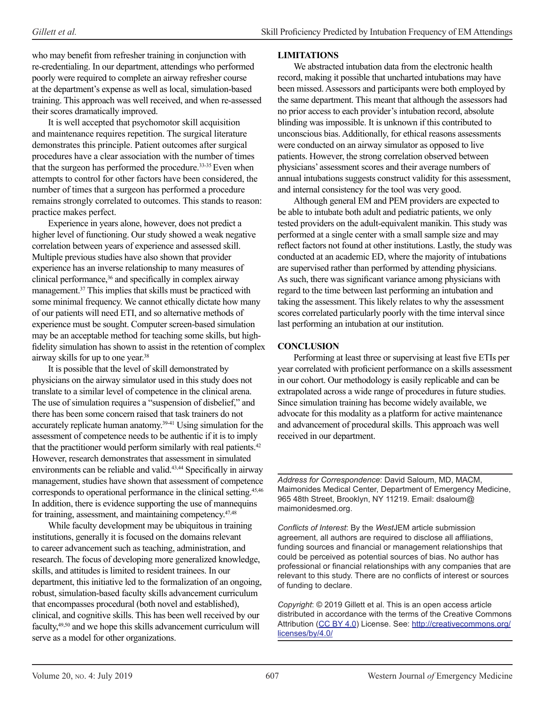who may benefit from refresher training in conjunction with re-credentialing. In our department, attendings who performed poorly were required to complete an airway refresher course at the department's expense as well as local, simulation-based training. This approach was well received, and when re-assessed their scores dramatically improved.

It is well accepted that psychomotor skill acquisition and maintenance requires repetition. The surgical literature demonstrates this principle. Patient outcomes after surgical procedures have a clear association with the number of times that the surgeon has performed the procedure.<sup>33-35</sup> Even when attempts to control for other factors have been considered, the number of times that a surgeon has performed a procedure remains strongly correlated to outcomes. This stands to reason: practice makes perfect.

Experience in years alone, however, does not predict a higher level of functioning. Our study showed a weak negative correlation between years of experience and assessed skill. Multiple previous studies have also shown that provider experience has an inverse relationship to many measures of clinical performance,<sup>36</sup> and specifically in complex airway management.37 This implies that skills must be practiced with some minimal frequency. We cannot ethically dictate how many of our patients will need ETI, and so alternative methods of experience must be sought. Computer screen-based simulation may be an acceptable method for teaching some skills, but highfidelity simulation has shown to assist in the retention of complex airway skills for up to one year.38

It is possible that the level of skill demonstrated by physicians on the airway simulator used in this study does not translate to a similar level of competence in the clinical arena. The use of simulation requires a "suspension of disbelief," and there has been some concern raised that task trainers do not accurately replicate human anatomy.<sup>39-41</sup> Using simulation for the assessment of competence needs to be authentic if it is to imply that the practitioner would perform similarly with real patients.<sup>42</sup> However, research demonstrates that assessment in simulated environments can be reliable and valid.<sup>43,44</sup> Specifically in airway management, studies have shown that assessment of competence corresponds to operational performance in the clinical setting.<sup>45,46</sup> In addition, there is evidence supporting the use of mannequins for training, assessment, and maintaining competency.47,48

While faculty development may be ubiquitous in training institutions, generally it is focused on the domains relevant to career advancement such as teaching, administration, and research. The focus of developing more generalized knowledge, skills, and attitudes is limited to resident trainees. In our department, this initiative led to the formalization of an ongoing, robust, simulation-based faculty skills advancement curriculum that encompasses procedural (both novel and established), clinical, and cognitive skills. This has been well received by our faculty,49,50 and we hope this skills advancement curriculum will serve as a model for other organizations.

# **LIMITATIONS**

We abstracted intubation data from the electronic health record, making it possible that uncharted intubations may have been missed. Assessors and participants were both employed by the same department. This meant that although the assessors had no prior access to each provider's intubation record, absolute blinding was impossible. It is unknown if this contributed to unconscious bias. Additionally, for ethical reasons assessments were conducted on an airway simulator as opposed to live patients. However, the strong correlation observed between physicians' assessment scores and their average numbers of annual intubations suggests construct validity for this assessment, and internal consistency for the tool was very good.

Although general EM and PEM providers are expected to be able to intubate both adult and pediatric patients, we only tested providers on the adult-equivalent manikin. This study was performed at a single center with a small sample size and may reflect factors not found at other institutions. Lastly, the study was conducted at an academic ED, where the majority of intubations are supervised rather than performed by attending physicians. As such, there was significant variance among physicians with regard to the time between last performing an intubation and taking the assessment. This likely relates to why the assessment scores correlated particularly poorly with the time interval since last performing an intubation at our institution.

## **CONCLUSION**

Performing at least three or supervising at least five ETIs per year correlated with proficient performance on a skills assessment in our cohort. Our methodology is easily replicable and can be extrapolated across a wide range of procedures in future studies. Since simulation training has become widely available, we advocate for this modality as a platform for active maintenance and advancement of procedural skills. This approach was well received in our department.

*Address for Correspondence*: David Saloum, MD, MACM, Maimonides Medical Center, Department of Emergency Medicine, 965 48th Street, Brooklyn, NY 11219. Email: dsaloum@ maimonidesmed.org.

*Conflicts of Interest*: By the *West*JEM article submission agreement, all authors are required to disclose all affiliations, funding sources and financial or management relationships that could be perceived as potential sources of bias. No author has professional or financial relationships with any companies that are relevant to this study. There are no conflicts of interest or sources of funding to declare.

*Copyright*: © 2019 Gillett et al. This is an open access article distributed in accordance with the terms of the Creative Commons Attribution [\(CC BY 4.0](http://creativecommons.org/licenses/by/4.0/)) License. See: [http://creativecommons.org/](http://creativecommons.org/licenses/by/4.0/) [licenses/by/4.0/](http://creativecommons.org/licenses/by/4.0/)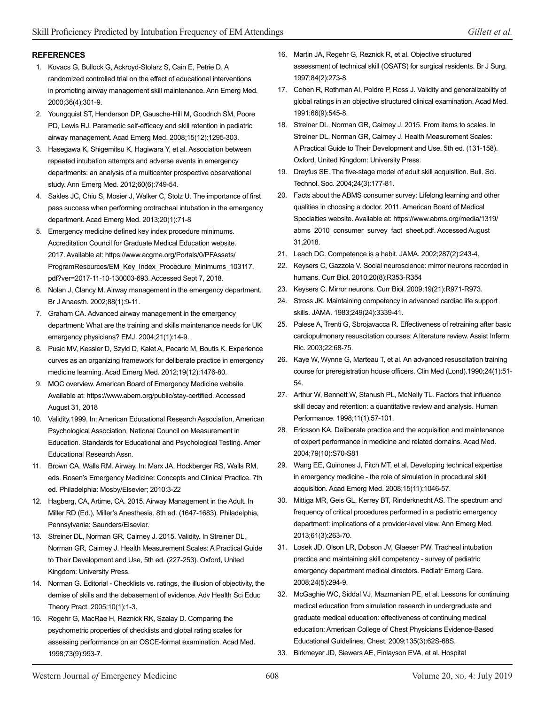#### **REFERENCES**

- 1. Kovacs G, Bullock G, Ackroyd-Stolarz S, Cain E, Petrie D. A randomized controlled trial on the effect of educational interventions in promoting airway management skill maintenance. Ann Emerg Med. 2000;36(4):301-9.
- 2. Youngquist ST, Henderson DP, Gausche-Hill M, Goodrich SM, Poore PD, Lewis RJ. Paramedic self-efficacy and skill retention in pediatric airway management. Acad Emerg Med. 2008;15(12):1295-303.
- 3. Hasegawa K, Shigemitsu K, Hagiwara Y, et al. Association between repeated intubation attempts and adverse events in emergency departments: an analysis of a multicenter prospective observational study. Ann Emerg Med. 2012;60(6):749-54.
- 4. Sakles JC, Chiu S, Mosier J, Walker C, Stolz U. The importance of first pass success when performing orotracheal intubation in the emergency department. Acad Emerg Med. 2013;20(1):71-8
- 5. Emergency medicine defined key index procedure minimums. Accreditation Council for Graduate Medical Education website. 2017. Available at: https://www.acgme.org/Portals/0/PFAssets/ ProgramResources/EM\_Key\_Index\_Procedure\_Minimums\_103117. pdf?ver=2017-11-10-130003-693. Accessed Sept 7, 2018.
- 6. Nolan J, Clancy M. Airway management in the emergency department. Br J Anaesth. 2002;88(1):9-11.
- 7. Graham CA. Advanced airway management in the emergency department: What are the training and skills maintenance needs for UK emergency physicians? EMJ. 2004;21(1):14-9.
- 8. Pusic MV, Kessler D, Szyld D, Kalet A, Pecaric M, Boutis K. Experience curves as an organizing framework for deliberate practice in emergency medicine learning. Acad Emerg Med. 2012;19(12):1476-80.
- 9. MOC overview. American Board of Emergency Medicine website. Available at: https://www.abem.org/public/stay-certified. Accessed August 31, 2018
- 10. Validity.1999. In: American Educational Research Association, American Psychological Association, National Council on Measurement in Education. Standards for Educational and Psychological Testing. Amer Educational Research Assn.
- 11. Brown CA, Walls RM. Airway. In: Marx JA, Hockberger RS, Walls RM, eds. Rosen's Emergency Medicine: Concepts and Clinical Practice. 7th ed. Philadelphia: Mosby/Elsevier; 2010:3-22
- 12. Hagberg, CA, Artime, CA. 2015. Airway Management in the Adult. In Miller RD (Ed.), Miller's Anesthesia, 8th ed. (1647-1683). Philadelphia, Pennsylvania: Saunders/Elsevier.
- 13. Streiner DL, Norman GR, Cairney J. 2015. Validity. In Streiner DL, Norman GR, Cairney J. Health Measurement Scales: A Practical Guide to Their Development and Use, 5th ed. (227-253). Oxford, United Kingdom: University Press.
- 14. Norman G. Editorial Checklists vs. ratings, the illusion of objectivity, the demise of skills and the debasement of evidence. Adv Health Sci Educ Theory Pract. 2005;10(1):1-3.
- 15. Regehr G, MacRae H, Reznick RK, Szalay D. Comparing the psychometric properties of checklists and global rating scales for assessing performance on an OSCE-format examination. Acad Med. 1998;73(9):993-7.
- 16. Martin JA, Regehr G, Reznick R, et al. Objective structured assessment of technical skill (OSATS) for surgical residents. Br J Surg. 1997;84(2):273-8.
- 17. Cohen R, Rothman AI, Poldre P, Ross J. Validity and generalizability of global ratings in an objective structured clinical examination. Acad Med. 1991;66(9):545-8.
- 18. Streiner DL, Norman GR, Cairney J. 2015. From items to scales. In Streiner DL, Norman GR, Cairney J. Health Measurement Scales: A Practical Guide to Their Development and Use. 5th ed. (131-158). Oxford, United Kingdom: University Press.
- 19. Dreyfus SE. The five-stage model of adult skill acquisition. Bull. Sci. Technol. Soc. 2004;24(3):177-81.
- 20. Facts about the ABMS consumer survey: Lifelong learning and other qualities in choosing a doctor. 2011. American Board of Medical Specialties website. Available at: https://www.abms.org/media/1319/ abms\_2010\_consumer\_survey\_fact\_sheet.pdf. Accessed August 31,2018.
- 21. Leach DC. Competence is a habit. JAMA. 2002;287(2):243-4.
- 22. Keysers C, Gazzola V. Social neuroscience: mirror neurons recorded in humans. Curr Biol. 2010;20(8):R353-R354
- 23. Keysers C. Mirror neurons. Curr Biol. 2009;19(21):R971-R973.
- 24. Stross JK. Maintaining competency in advanced cardiac life support skills. JAMA. 1983;249(24):3339-41.
- 25. Palese A, Trenti G, Sbrojavacca R. Effectiveness of retraining after basic cardiopulmonary resuscitation courses: A literature review. Assist Inferm Ric. 2003;22:68-75.
- 26. Kaye W, Wynne G, Marteau T, et al. An advanced resuscitation training course for preregistration house officers. Clin Med (Lond).1990;24(1):51- 54.
- 27. Arthur W, Bennett W, Stanush PL, McNelly TL. Factors that influence skill decay and retention: a quantitative review and analysis. Human Performance. 1998;11(1):57-101.
- 28. Ericsson KA. Deliberate practice and the acquisition and maintenance of expert performance in medicine and related domains. Acad Med. 2004;79(10):S70-S81
- 29. Wang EE, Quinones J, Fitch MT, et al. Developing technical expertise in emergency medicine - the role of simulation in procedural skill acquisition. Acad Emerg Med. 2008;15(11):1046-57.
- 30. Mittiga MR, Geis GL, Kerrey BT, Rinderknecht AS. The spectrum and frequency of critical procedures performed in a pediatric emergency department: implications of a provider-level view. Ann Emerg Med. 2013;61(3):263-70.
- 31. Losek JD, Olson LR, Dobson JV, Glaeser PW. Tracheal intubation practice and maintaining skill competency - survey of pediatric emergency department medical directors. Pediatr Emerg Care. 2008;24(5):294-9.
- 32. McGaghie WC, Siddal VJ, Mazmanian PE, et al. Lessons for continuing medical education from simulation research in undergraduate and graduate medical education: effectiveness of continuing medical education: American College of Chest Physicians Evidence-Based Educational Guidelines. Chest. 2009;135(3):62S-68S.
- 33. Birkmeyer JD, Siewers AE, Finlayson EVA, et al. Hospital